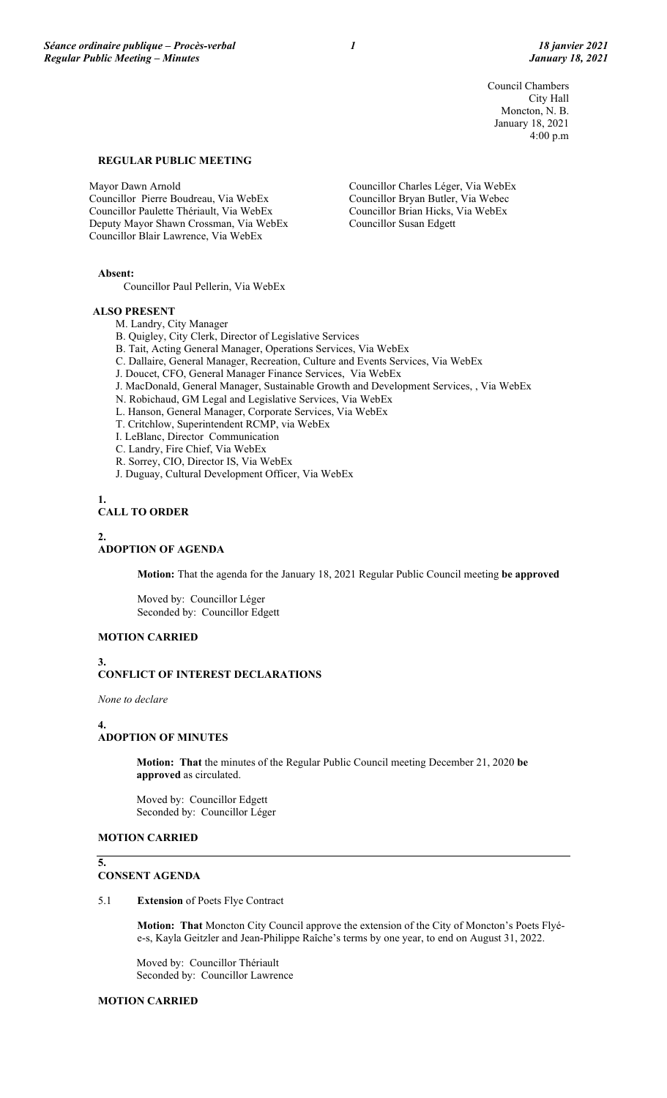Council Chambers City Hall Moncton, N. B. January 18, 2021 4:00 p.m

### **REGULAR PUBLIC MEETING**

Mayor Dawn Arnold Councillor Pierre Boudreau, Via WebEx Councillor Paulette Thériault, Via WebEx Deputy Mayor Shawn Crossman, Via WebEx Councillor Blair Lawrence, Via WebEx

Councillor Charles Léger, Via WebEx Councillor Bryan Butler, Via Webec Councillor Brian Hicks, Via WebEx Councillor Susan Edgett

**Absent:**

Councillor Paul Pellerin, Via WebEx

#### **ALSO PRESENT**

- M. Landry, City Manager
- B. Quigley, City Clerk, Director of Legislative Services
- B. Tait, Acting General Manager, Operations Services, Via WebEx
- C. Dallaire, General Manager, Recreation, Culture and Events Services, Via WebEx
- J. Doucet, CFO, General Manager Finance Services, Via WebEx
- J. MacDonald, General Manager, Sustainable Growth and Development Services, , Via WebEx
- N. Robichaud, GM Legal and Legislative Services, Via WebEx
- L. Hanson, General Manager, Corporate Services, Via WebEx
- T. Critchlow, Superintendent RCMP, via WebEx
- I. LeBlanc, Director Communication
- C. Landry, Fire Chief, Via WebEx
- R. Sorrey, CIO, Director IS, Via WebEx
- J. Duguay, Cultural Development Officer, Via WebEx

## **1.**

## **CALL TO ORDER**

### **2.**

## **ADOPTION OF AGENDA**

**Motion:** That the agenda for the January 18, 2021 Regular Public Council meeting **be approved**

Moved by: Councillor Léger Seconded by: Councillor Edgett

#### **MOTION CARRIED**

**3.**

### **CONFLICT OF INTEREST DECLARATIONS**

*None to declare*

#### **4. ADOPTION OF MINUTES**

**Motion: That** the minutes of the Regular Public Council meeting December 21, 2020 **be approved** as circulated.

Moved by: Councillor Edgett Seconded by: Councillor Léger

### **MOTION CARRIED**

#### **5. CONSENT AGENDA**

5.1 **Extension** of Poets Flye Contract

**Motion: That** Moncton City Council approve the extension of the City of Moncton's Poets Flyée-s, Kayla Geitzler and Jean-Philippe Raîche's terms by one year, to end on August 31, 2022.

Moved by: Councillor Thériault Seconded by: Councillor Lawrence

### **MOTION CARRIED**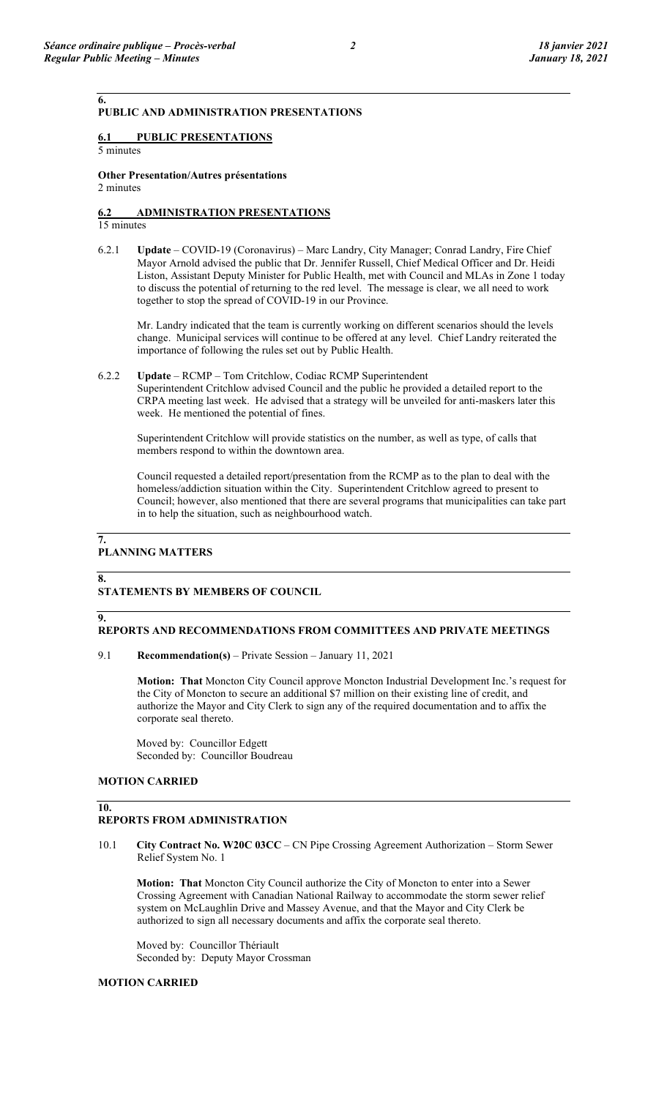## **PUBLIC AND ADMINISTRATION PRESENTATIONS**

## **6.1 PUBLIC PRESENTATIONS**

5 minutes

**6.**

## **Other Presentation/Autres présentations**

2 minutes

# **6.2 ADMINISTRATION PRESENTATIONS**

15 minutes

6.2.1 **Update** – COVID-19 (Coronavirus) – Marc Landry, City Manager; Conrad Landry, Fire Chief Mayor Arnold advised the public that Dr. Jennifer Russell, Chief Medical Officer and Dr. Heidi Liston, Assistant Deputy Minister for Public Health, met with Council and MLAs in Zone 1 today to discuss the potential of returning to the red level. The message is clear, we all need to work together to stop the spread of COVID-19 in our Province.

Mr. Landry indicated that the team is currently working on different scenarios should the levels change. Municipal services will continue to be offered at any level. Chief Landry reiterated the importance of following the rules set out by Public Health.

6.2.2 **Update** – RCMP – Tom Critchlow, Codiac RCMP Superintendent Superintendent Critchlow advised Council and the public he provided a detailed report to the CRPA meeting last week. He advised that a strategy will be unveiled for anti-maskers later this week. He mentioned the potential of fines.

Superintendent Critchlow will provide statistics on the number, as well as type, of calls that members respond to within the downtown area.

Council requested a detailed report/presentation from the RCMP as to the plan to deal with the homeless/addiction situation within the City. Superintendent Critchlow agreed to present to Council; however, also mentioned that there are several programs that municipalities can take part in to help the situation, such as neighbourhood watch.

# **PLANNING MATTERS**

**7.**

**8.**

**9.**

**10.**

## **STATEMENTS BY MEMBERS OF COUNCIL**

### **REPORTS AND RECOMMENDATIONS FROM COMMITTEES AND PRIVATE MEETINGS**

9.1 **Recommendation(s)** – Private Session – January 11, 2021

**Motion: That** Moncton City Council approve Moncton Industrial Development Inc.'s request for the City of Moncton to secure an additional \$7 million on their existing line of credit, and authorize the Mayor and City Clerk to sign any of the required documentation and to affix the corporate seal thereto.

Moved by: Councillor Edgett Seconded by: Councillor Boudreau

#### **MOTION CARRIED**

## **REPORTS FROM ADMINISTRATION**

10.1 **City Contract No. W20C 03CC** – CN Pipe Crossing Agreement Authorization – Storm Sewer Relief System No. 1

**Motion: That** Moncton City Council authorize the City of Moncton to enter into a Sewer Crossing Agreement with Canadian National Railway to accommodate the storm sewer relief system on McLaughlin Drive and Massey Avenue, and that the Mayor and City Clerk be authorized to sign all necessary documents and affix the corporate seal thereto.

Moved by: Councillor Thériault Seconded by: Deputy Mayor Crossman

### **MOTION CARRIED**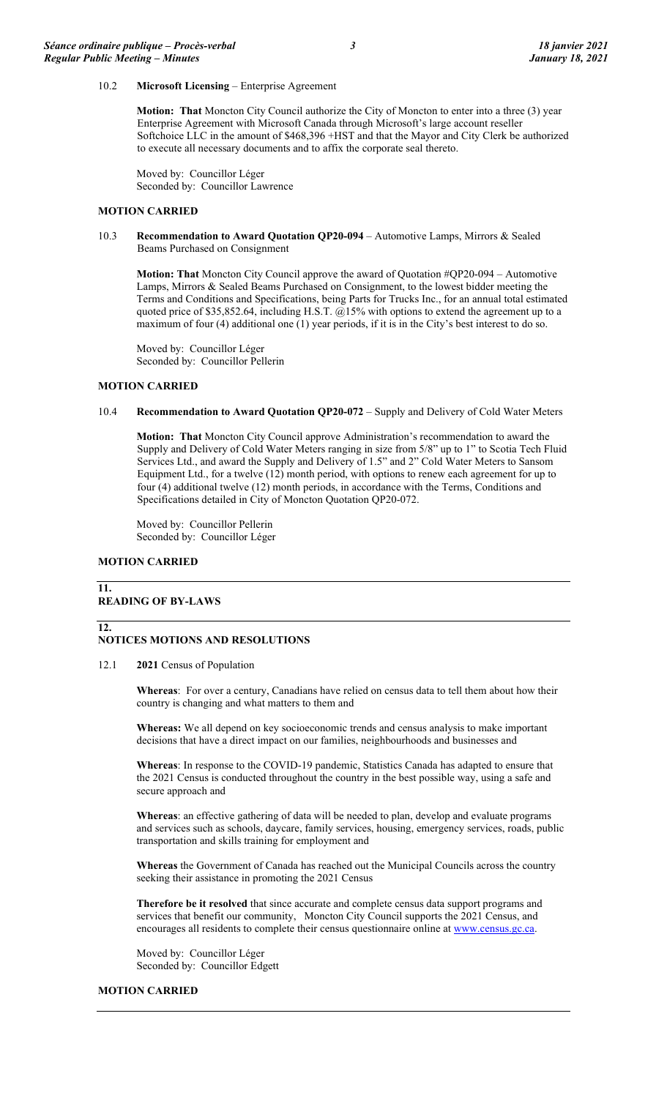10.2 **Microsoft Licensing** – Enterprise Agreement

**Motion: That** Moncton City Council authorize the City of Moncton to enter into a three (3) year Enterprise Agreement with Microsoft Canada through Microsoft's large account reseller Softchoice LLC in the amount of \$468,396 +HST and that the Mayor and City Clerk be authorized to execute all necessary documents and to affix the corporate seal thereto.

Moved by: Councillor Léger Seconded by: Councillor Lawrence

#### **MOTION CARRIED**

10.3 **Recommendation to Award Quotation QP20-094** – Automotive Lamps, Mirrors & Sealed Beams Purchased on Consignment

**Motion: That** Moncton City Council approve the award of Quotation #QP20-094 – Automotive Lamps, Mirrors & Sealed Beams Purchased on Consignment, to the lowest bidder meeting the Terms and Conditions and Specifications, being Parts for Trucks Inc., for an annual total estimated quoted price of \$35,852.64, including H.S.T.  $\omega$ 15% with options to extend the agreement up to a maximum of four (4) additional one (1) year periods, if it is in the City's best interest to do so.

Moved by: Councillor Léger Seconded by: Councillor Pellerin

#### **MOTION CARRIED**

#### 10.4 **Recommendation to Award Quotation QP20-072** – Supply and Delivery of Cold Water Meters

**Motion: That** Moncton City Council approve Administration's recommendation to award the Supply and Delivery of Cold Water Meters ranging in size from 5/8" up to 1" to Scotia Tech Fluid Services Ltd., and award the Supply and Delivery of 1.5" and 2" Cold Water Meters to Sansom Equipment Ltd., for a twelve (12) month period, with options to renew each agreement for up to four (4) additional twelve (12) month periods, in accordance with the Terms, Conditions and Specifications detailed in City of Moncton Quotation QP20-072.

Moved by: Councillor Pellerin Seconded by: Councillor Léger

## **MOTION CARRIED**

**12.**

#### **11. READING OF BY-LAWS**

### **NOTICES MOTIONS AND RESOLUTIONS**

#### 12.1 **2021** Census of Population

**Whereas**: For over a century, Canadians have relied on census data to tell them about how their country is changing and what matters to them and

**Whereas:** We all depend on key socioeconomic trends and census analysis to make important decisions that have a direct impact on our families, neighbourhoods and businesses and

**Whereas**: In response to the COVID-19 pandemic, Statistics Canada has adapted to ensure that the 2021 Census is conducted throughout the country in the best possible way, using a safe and secure approach and

**Whereas**: an effective gathering of data will be needed to plan, develop and evaluate programs and services such as schools, daycare, family services, housing, emergency services, roads, public transportation and skills training for employment and

**Whereas** the Government of Canada has reached out the Municipal Councils across the country seeking their assistance in promoting the 2021 Census

**Therefore be it resolved** that since accurate and complete census data support programs and services that benefit our community, Moncton City Council supports the 2021 Census, and encourages all residents to complete their census questionnaire online a[t www.census.gc.ca.](http://www.census.gc.ca/)

Moved by: Councillor Léger Seconded by: Councillor Edgett

#### **MOTION CARRIED**